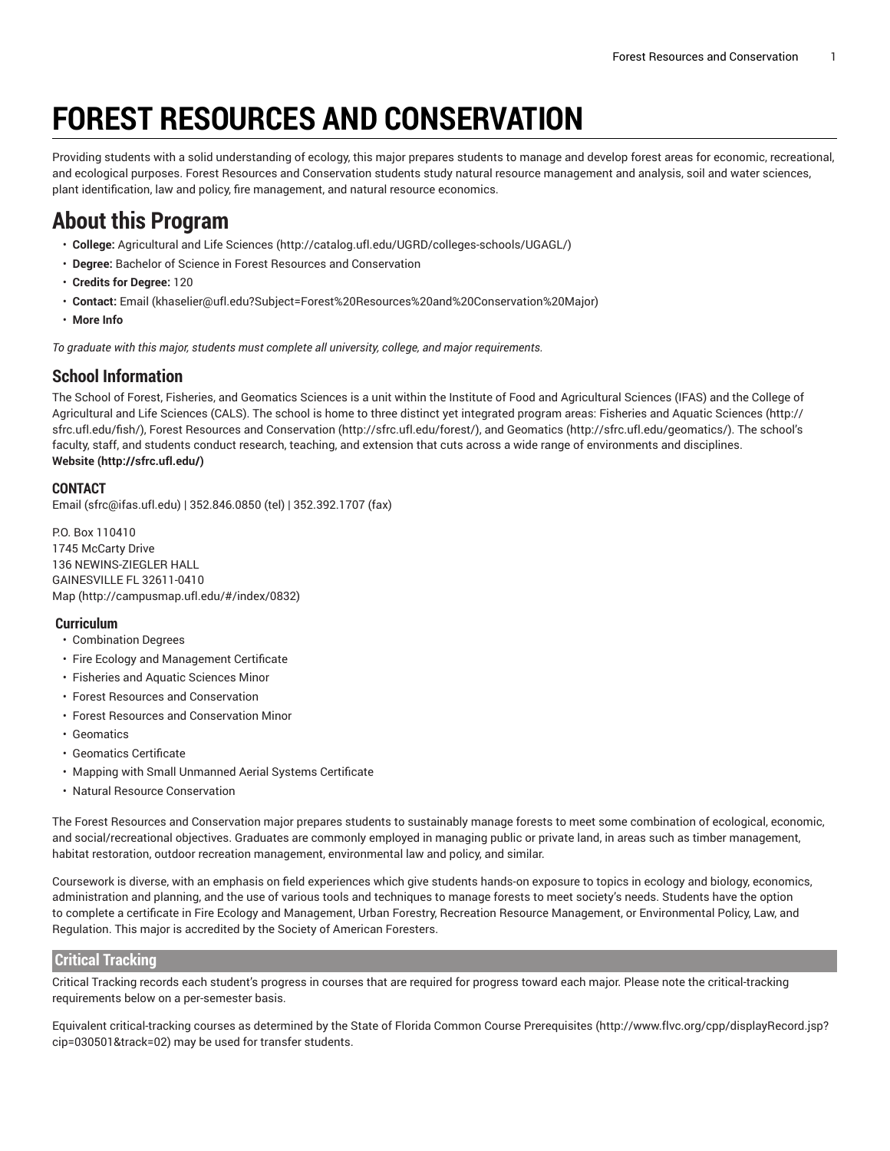# **FOREST RESOURCES AND CONSERVATION**

Providing students with a solid understanding of ecology, this major prepares students to manage and develop forest areas for economic, recreational, and ecological purposes. Forest Resources and Conservation students study natural resource management and analysis, soil and water sciences, plant identification, law and policy, fire management, and natural resource economics.

## **About this Program**

- **College:** [Agricultural](http://catalog.ufl.edu/UGRD/colleges-schools/UGAGL/) and Life Sciences ([http://catalog.ufl.edu/UGRD/colleges-schools/UGAGL/\)](http://catalog.ufl.edu/UGRD/colleges-schools/UGAGL/)
- **Degree:** Bachelor of Science in Forest Resources and Conservation
- **Credits for Degree:** 120
- **Contact:** [Email](mailto:khaselier@ufl.edu?Subject=Forest%20Resources%20and%20Conservation%20Major) [\(khaselier@ufl.edu?Subject=Forest%20Resources%20and%20Conservation%20Major](khaselier@ufl.edu?Subject=Forest%20Resources%20and%20Conservation%20Major))
- **More Info**

*To graduate with this major, students must complete all university, college, and major requirements.*

#### **School Information**

The School of Forest, Fisheries, and Geomatics Sciences is a unit within the Institute of Food and Agricultural Sciences (IFAS) and the College of Agricultural and Life Sciences (CALS). The school is home to three distinct yet integrated program areas: [Fisheries and Aquatic Sciences](http://sfrc.ufl.edu/fish/) ([http://](http://sfrc.ufl.edu/fish/) [sfrc.ufl.edu/fish/\)](http://sfrc.ufl.edu/fish/), Forest Resources and [Conservation \(http://sfrc.ufl.edu/forest/](http://sfrc.ufl.edu/forest/)), and [Geomatics \(http://sfrc.ufl.edu/geomatics/\)](http://sfrc.ufl.edu/geomatics/). The school's faculty, staff, and students conduct research, teaching, and extension that cuts across a wide range of environments and disciplines. **[Website](http://sfrc.ufl.edu/) ([http://sfrc.ufl.edu/\)](http://sfrc.ufl.edu/)**

#### **CONTACT**

[Email](mailto:sfrc@ifas.ufl.edu) ([sfrc@ifas.ufl.edu\)](sfrc@ifas.ufl.edu) | 352.846.0850 (tel) | 352.392.1707 (fax)

P.O. Box 110410 1745 McCarty Drive 136 NEWINS-ZIEGLER HALL GAINESVILLE FL 32611-0410 [Map](http://campusmap.ufl.edu/#/index/0832) ([http://campusmap.ufl.edu/#/index/0832\)](http://campusmap.ufl.edu/#/index/0832)

#### **Curriculum**

- Combination Degrees
- Fire Ecology and Management Certificate
- Fisheries and Aquatic Sciences Minor
- Forest Resources and Conservation
- Forest Resources and Conservation Minor
- Geomatics
- Geomatics Certificate
- Mapping with Small Unmanned Aerial Systems Certificate
- Natural Resource Conservation

The Forest Resources and Conservation major prepares students to sustainably manage forests to meet some combination of ecological, economic, and social/recreational objectives. Graduates are commonly employed in managing public or private land, in areas such as timber management, habitat restoration, outdoor recreation management, environmental law and policy, and similar.

Coursework is diverse, with an emphasis on field experiences which give students hands-on exposure to topics in ecology and biology, economics, administration and planning, and the use of various tools and techniques to manage forests to meet society's needs. Students have the option to complete a certificate in Fire Ecology and Management, Urban Forestry, Recreation Resource Management, or Environmental Policy, Law, and Regulation. This major is accredited by the Society of American Foresters.

#### **Critical Tracking**

Critical Tracking records each student's progress in courses that are required for progress toward each major. Please note the critical-tracking requirements below on a per-semester basis.

Equivalent critical-tracking courses as determined by the State of Florida Common Course [Prerequisites](http://www.flvc.org/cpp/displayRecord.jsp?cip=030501&track=02) ([http://www.flvc.org/cpp/displayRecord.jsp?](http://www.flvc.org/cpp/displayRecord.jsp?cip=030501&track=02) [cip=030501&track=02\)](http://www.flvc.org/cpp/displayRecord.jsp?cip=030501&track=02) may be used for transfer students.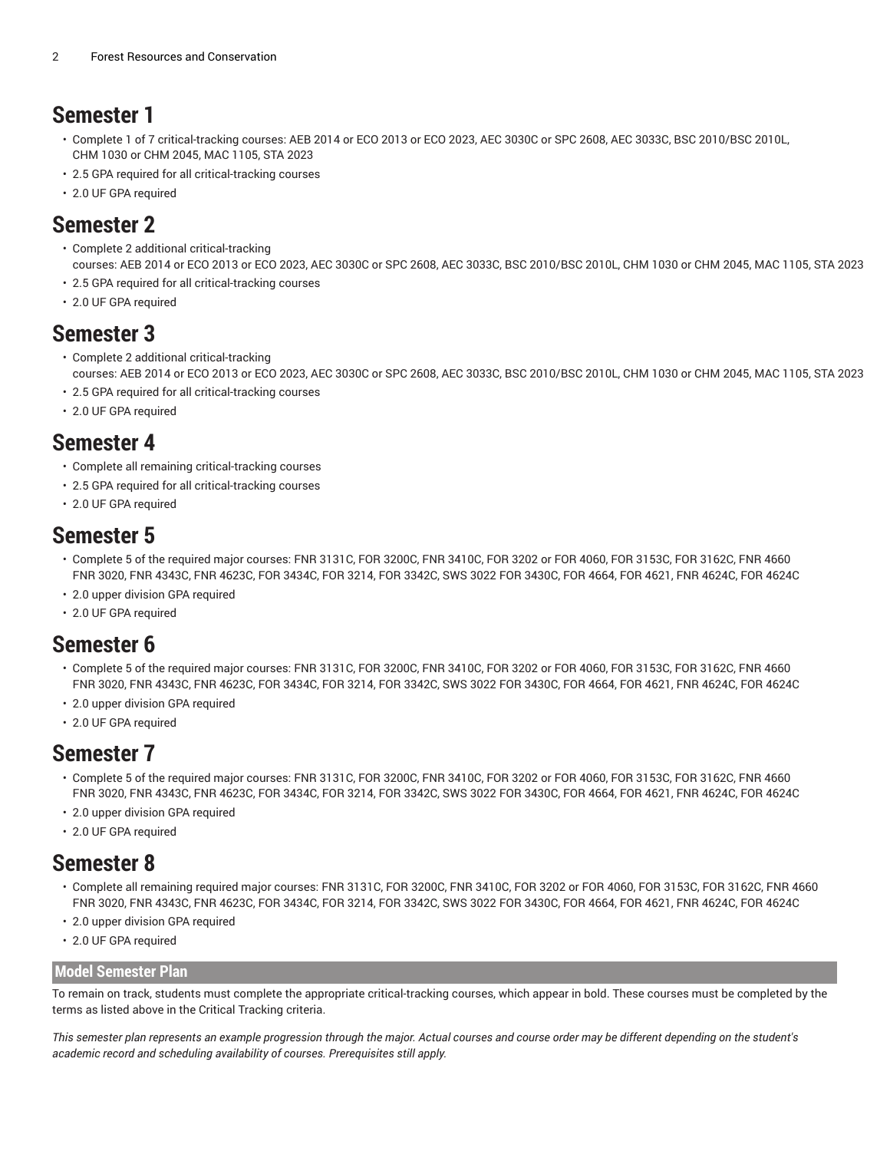### **Semester 1**

- Complete 1 of 7 critical-tracking courses: AEB 2014 or ECO 2013 or ECO 2023, AEC 3030C or SPC 2608, AEC 3033C, BSC 2010/BSC 2010L, CHM 1030 or CHM 2045, MAC 1105, STA 2023
- 2.5 GPA required for all critical-tracking courses
- 2.0 UF GPA required

### **Semester 2**

- Complete 2 additional critical-tracking courses: AEB 2014 or ECO 2013 or ECO 2023, AEC 3030C or SPC 2608, AEC 3033C, BSC 2010/BSC 2010L, CHM 1030 or CHM 2045, MAC 1105, STA 2023
- 2.5 GPA required for all critical-tracking courses
- 2.0 UF GPA required

#### **Semester 3**

- Complete 2 additional critical-tracking courses: AEB 2014 or ECO 2013 or ECO 2023, AEC 3030C or SPC 2608, AEC 3033C, BSC 2010/BSC 2010L, CHM 1030 or CHM 2045, MAC 1105, STA 2023
- 2.5 GPA required for all critical-tracking courses
- 2.0 UF GPA required

### **Semester 4**

- Complete all remaining critical-tracking courses
- 2.5 GPA required for all critical-tracking courses
- 2.0 UF GPA required

### **Semester 5**

- Complete 5 of the required major courses: FNR 3131C, FOR 3200C, FNR 3410C, FOR 3202 or FOR 4060, FOR 3153C, FOR 3162C, FNR 4660 FNR 3020, FNR 4343C, FNR 4623C, FOR 3434C, FOR 3214, FOR 3342C, SWS 3022 FOR 3430C, FOR 4664, FOR 4621, FNR 4624C, FOR 4624C
- 2.0 upper division GPA required
- 2.0 UF GPA required

### **Semester 6**

- Complete 5 of the required major courses: FNR 3131C, FOR 3200C, FNR 3410C, FOR 3202 or FOR 4060, FOR 3153C, FOR 3162C, FNR 4660 FNR 3020, FNR 4343C, FNR 4623C, FOR 3434C, FOR 3214, FOR 3342C, SWS 3022 FOR 3430C, FOR 4664, FOR 4621, FNR 4624C, FOR 4624C
- 2.0 upper division GPA required
- 2.0 UF GPA required

### **Semester 7**

- Complete 5 of the required major courses: FNR 3131C, FOR 3200C, FNR 3410C, FOR 3202 or FOR 4060, FOR 3153C, FOR 3162C, FNR 4660 FNR 3020, FNR 4343C, FNR 4623C, FOR 3434C, FOR 3214, FOR 3342C, SWS 3022 FOR 3430C, FOR 4664, FOR 4621, FNR 4624C, FOR 4624C
- 2.0 upper division GPA required
- 2.0 UF GPA required

### **Semester 8**

- Complete all remaining required major courses: FNR 3131C, FOR 3200C, FNR 3410C, FOR 3202 or FOR 4060, FOR 3153C, FOR 3162C, FNR 4660 FNR 3020, FNR 4343C, FNR 4623C, FOR 3434C, FOR 3214, FOR 3342C, SWS 3022 FOR 3430C, FOR 4664, FOR 4621, FNR 4624C, FOR 4624C
- 2.0 upper division GPA required
- 2.0 UF GPA required

#### **Model Semester Plan**

To remain on track, students must complete the appropriate critical-tracking courses, which appear in bold. These courses must be completed by the terms as listed above in the Critical Tracking criteria.

This semester plan represents an example progression through the major. Actual courses and course order may be different depending on the student's *academic record and scheduling availability of courses. Prerequisites still apply.*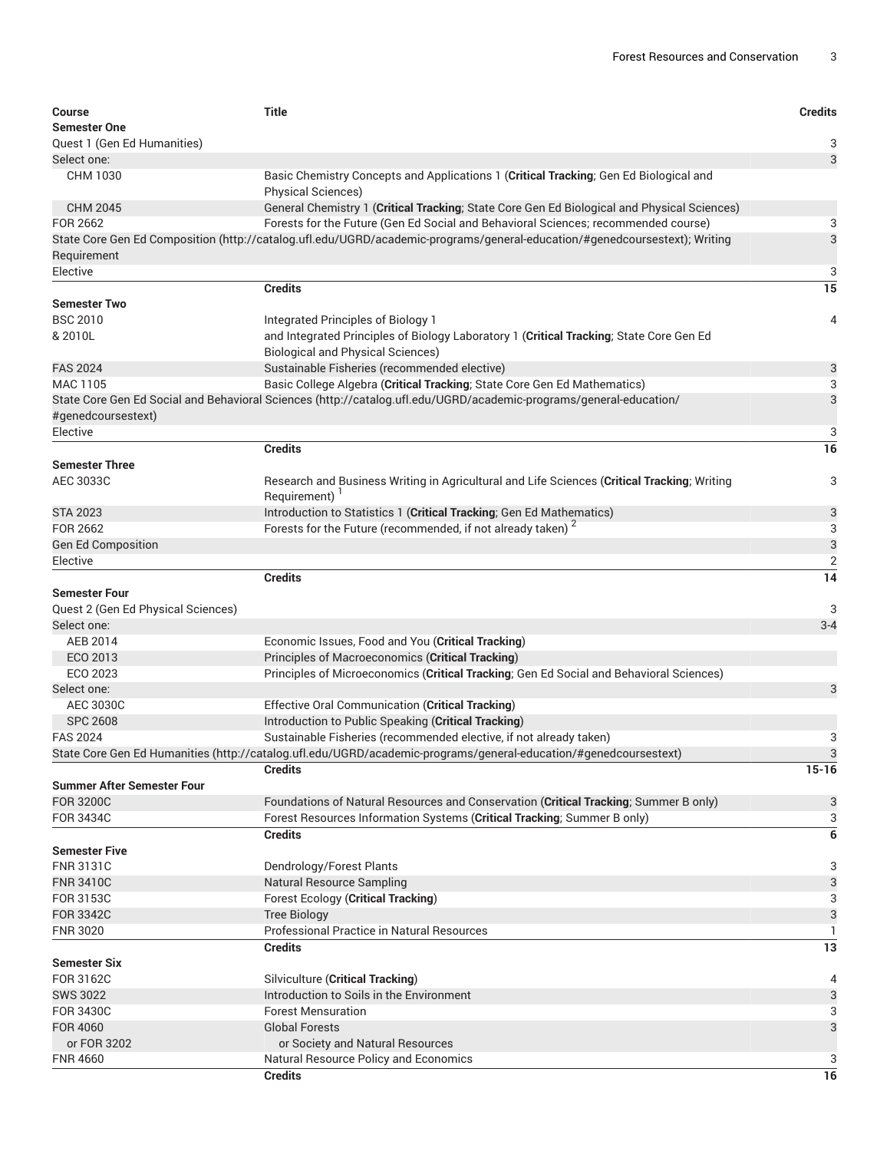| <b>Course</b>                      | <b>Title</b>                                                                                                               | <b>Credits</b>  |  |  |
|------------------------------------|----------------------------------------------------------------------------------------------------------------------------|-----------------|--|--|
| <b>Semester One</b>                |                                                                                                                            |                 |  |  |
| Quest 1 (Gen Ed Humanities)        |                                                                                                                            | 3               |  |  |
| Select one:                        |                                                                                                                            | 3               |  |  |
| CHM 1030                           | Basic Chemistry Concepts and Applications 1 (Critical Tracking; Gen Ed Biological and                                      |                 |  |  |
|                                    | <b>Physical Sciences)</b>                                                                                                  |                 |  |  |
| <b>CHM 2045</b>                    | General Chemistry 1 (Critical Tracking; State Core Gen Ed Biological and Physical Sciences)                                |                 |  |  |
| FOR 2662                           | Forests for the Future (Gen Ed Social and Behavioral Sciences; recommended course)                                         |                 |  |  |
|                                    | State Core Gen Ed Composition (http://catalog.ufl.edu/UGRD/academic-programs/general-education/#genedcoursestext); Writing | 3               |  |  |
| Requirement                        |                                                                                                                            |                 |  |  |
| Elective                           |                                                                                                                            | 3               |  |  |
|                                    | <b>Credits</b>                                                                                                             | $\overline{15}$ |  |  |
| <b>Semester Two</b>                |                                                                                                                            |                 |  |  |
| <b>BSC 2010</b>                    | Integrated Principles of Biology 1                                                                                         | 4               |  |  |
| & 2010L                            | and Integrated Principles of Biology Laboratory 1 (Critical Tracking; State Core Gen Ed                                    |                 |  |  |
|                                    | <b>Biological and Physical Sciences)</b>                                                                                   |                 |  |  |
| <b>FAS 2024</b>                    | Sustainable Fisheries (recommended elective)                                                                               | 3               |  |  |
| MAC 1105                           | Basic College Algebra (Critical Tracking; State Core Gen Ed Mathematics)                                                   | 3               |  |  |
|                                    | State Core Gen Ed Social and Behavioral Sciences (http://catalog.ufl.edu/UGRD/academic-programs/general-education/         | 3               |  |  |
| #genedcoursestext)                 |                                                                                                                            |                 |  |  |
| Elective                           |                                                                                                                            | 3               |  |  |
|                                    | <b>Credits</b>                                                                                                             | 16              |  |  |
| <b>Semester Three</b>              |                                                                                                                            |                 |  |  |
| AEC 3033C                          | Research and Business Writing in Agricultural and Life Sciences (Critical Tracking; Writing                                | 3               |  |  |
|                                    | Requirement) <sup>1</sup>                                                                                                  |                 |  |  |
| <b>STA 2023</b>                    | Introduction to Statistics 1 (Critical Tracking; Gen Ed Mathematics)                                                       | 3               |  |  |
| FOR 2662                           | Forests for the Future (recommended, if not already taken) <sup>2</sup>                                                    | 3               |  |  |
| <b>Gen Ed Composition</b>          |                                                                                                                            | 3               |  |  |
| Elective                           |                                                                                                                            | $\overline{2}$  |  |  |
|                                    | <b>Credits</b>                                                                                                             | $\overline{14}$ |  |  |
| <b>Semester Four</b>               |                                                                                                                            |                 |  |  |
| Quest 2 (Gen Ed Physical Sciences) |                                                                                                                            | 3               |  |  |
| Select one:                        |                                                                                                                            | $3 - 4$         |  |  |
| AEB 2014                           | Economic Issues, Food and You (Critical Tracking)                                                                          |                 |  |  |
| ECO 2013                           | Principles of Macroeconomics (Critical Tracking)                                                                           |                 |  |  |
| ECO 2023                           | Principles of Microeconomics (Critical Tracking; Gen Ed Social and Behavioral Sciences)                                    |                 |  |  |
| Select one:                        |                                                                                                                            | 3               |  |  |
| AEC 3030C                          | Effective Oral Communication (Critical Tracking)                                                                           |                 |  |  |
| <b>SPC 2608</b>                    | Introduction to Public Speaking (Critical Tracking)                                                                        |                 |  |  |
| <b>FAS 2024</b>                    | Sustainable Fisheries (recommended elective, if not already taken)                                                         | 3               |  |  |
|                                    | State Core Gen Ed Humanities (http://catalog.ufl.edu/UGRD/academic-programs/general-education/#genedcoursestext)           | 3               |  |  |
|                                    | <b>Credits</b>                                                                                                             | $15 - 16$       |  |  |
| <b>Summer After Semester Four</b>  |                                                                                                                            |                 |  |  |
| <b>FOR 3200C</b>                   | Foundations of Natural Resources and Conservation (Critical Tracking; Summer B only)                                       | 3               |  |  |
| FOR 3434C                          | Forest Resources Information Systems (Critical Tracking; Summer B only)                                                    | 3               |  |  |
|                                    | <b>Credits</b>                                                                                                             | 6               |  |  |
| <b>Semester Five</b>               |                                                                                                                            |                 |  |  |
| <b>FNR 3131C</b>                   | Dendrology/Forest Plants                                                                                                   | 3               |  |  |
| <b>FNR 3410C</b>                   | <b>Natural Resource Sampling</b>                                                                                           | 3               |  |  |
| FOR 3153C<br><b>FOR 3342C</b>      | <b>Forest Ecology (Critical Tracking)</b>                                                                                  | 3               |  |  |
|                                    | <b>Tree Biology</b>                                                                                                        | 3               |  |  |
| <b>FNR 3020</b>                    | <b>Professional Practice in Natural Resources</b>                                                                          | 1               |  |  |
|                                    | <b>Credits</b>                                                                                                             | 13              |  |  |
| <b>Semester Six</b>                |                                                                                                                            |                 |  |  |
| FOR 3162C                          | Silviculture (Critical Tracking)                                                                                           | 4               |  |  |
| <b>SWS 3022</b>                    | Introduction to Soils in the Environment                                                                                   | 3               |  |  |
| FOR 3430C                          | <b>Forest Mensuration</b>                                                                                                  | 3               |  |  |
| FOR 4060                           | <b>Global Forests</b>                                                                                                      | 3               |  |  |
| or FOR 3202                        | or Society and Natural Resources                                                                                           |                 |  |  |
| <b>FNR 4660</b>                    | Natural Resource Policy and Economics                                                                                      | 3               |  |  |
|                                    | <b>Credits</b>                                                                                                             | 16              |  |  |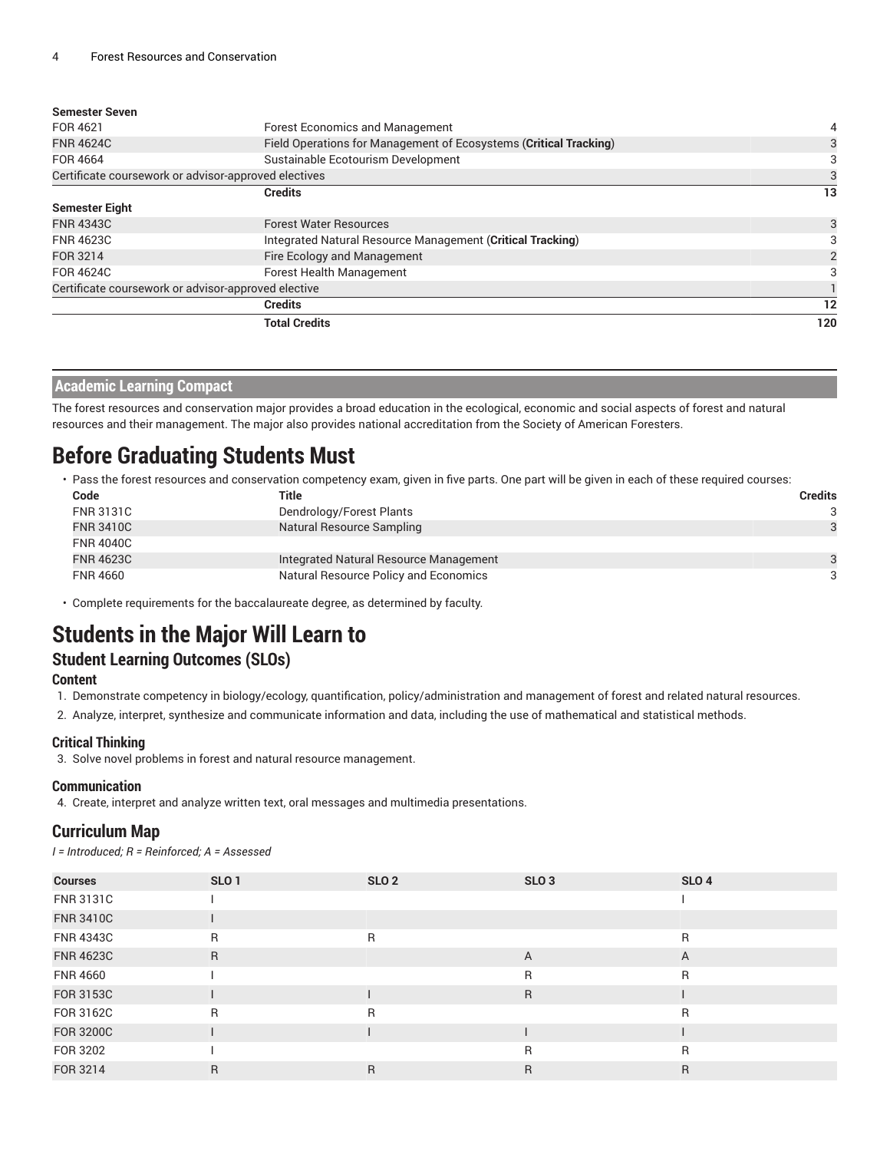| <b>Forest Economics and Management</b>                            | 4                                                                                                           |  |
|-------------------------------------------------------------------|-------------------------------------------------------------------------------------------------------------|--|
| Field Operations for Management of Ecosystems (Critical Tracking) | 3                                                                                                           |  |
| Sustainable Ecotourism Development                                | 3                                                                                                           |  |
|                                                                   |                                                                                                             |  |
| <b>Credits</b>                                                    | 13                                                                                                          |  |
|                                                                   |                                                                                                             |  |
| <b>Forest Water Resources</b>                                     | 3                                                                                                           |  |
| Integrated Natural Resource Management (Critical Tracking)        | З                                                                                                           |  |
| Fire Ecology and Management                                       |                                                                                                             |  |
| Forest Health Management                                          |                                                                                                             |  |
|                                                                   |                                                                                                             |  |
| <b>Credits</b>                                                    | 12                                                                                                          |  |
| <b>Total Credits</b>                                              | 120                                                                                                         |  |
|                                                                   | Certificate coursework or advisor-approved electives<br>Certificate coursework or advisor-approved elective |  |

| <b>Academic Learning Compact</b> |
|----------------------------------|
|----------------------------------|

The forest resources and conservation major provides a broad education in the ecological, economic and social aspects of forest and natural resources and their management. The major also provides national accreditation from the Society of American Foresters.

# **Before Graduating Students Must**

• Pass the forest resources and conservation competency exam, given in five parts. One part will be given in each of these required courses:

| Code             | Title                                  | <b>Credits</b> |
|------------------|----------------------------------------|----------------|
| <b>FNR 3131C</b> | Dendrology/Forest Plants               | 3              |
| <b>FNR 3410C</b> | Natural Resource Sampling              | 3              |
| <b>FNR 4040C</b> |                                        |                |
| <b>FNR 4623C</b> | Integrated Natural Resource Management | $\mathbf{a}$   |
| <b>FNR 4660</b>  | Natural Resource Policy and Economics  | 3              |

• Complete requirements for the baccalaureate degree, as determined by faculty.

# **Students in the Major Will Learn to**

#### **Student Learning Outcomes (SLOs)**

**Content**

1. Demonstrate competency in biology/ecology, quantification, policy/administration and management of forest and related natural resources.

2. Analyze, interpret, synthesize and communicate information and data, including the use of mathematical and statistical methods.

#### **Critical Thinking**

3. Solve novel problems in forest and natural resource management.

#### **Communication**

4. Create, interpret and analyze written text, oral messages and multimedia presentations.

#### **Curriculum Map**

*I = Introduced; R = Reinforced; A = Assessed*

| <b>Courses</b>   | SLO <sub>1</sub> | SLO <sub>2</sub> | SLO <sub>3</sub> | SLO <sub>4</sub> |
|------------------|------------------|------------------|------------------|------------------|
| <b>FNR 3131C</b> |                  |                  |                  |                  |
| <b>FNR 3410C</b> |                  |                  |                  |                  |
| <b>FNR 4343C</b> | R                | R                |                  | R                |
| <b>FNR 4623C</b> | R                |                  | $\overline{A}$   | A                |
| <b>FNR 4660</b>  |                  |                  | R                | $\mathsf{R}$     |
| <b>FOR 3153C</b> |                  |                  | R                |                  |
| FOR 3162C        | $\mathsf{R}$     | R                |                  | R                |
| <b>FOR 3200C</b> |                  |                  |                  |                  |
| FOR 3202         |                  |                  | R                | R                |
| FOR 3214         | R                | R                | R                | R                |